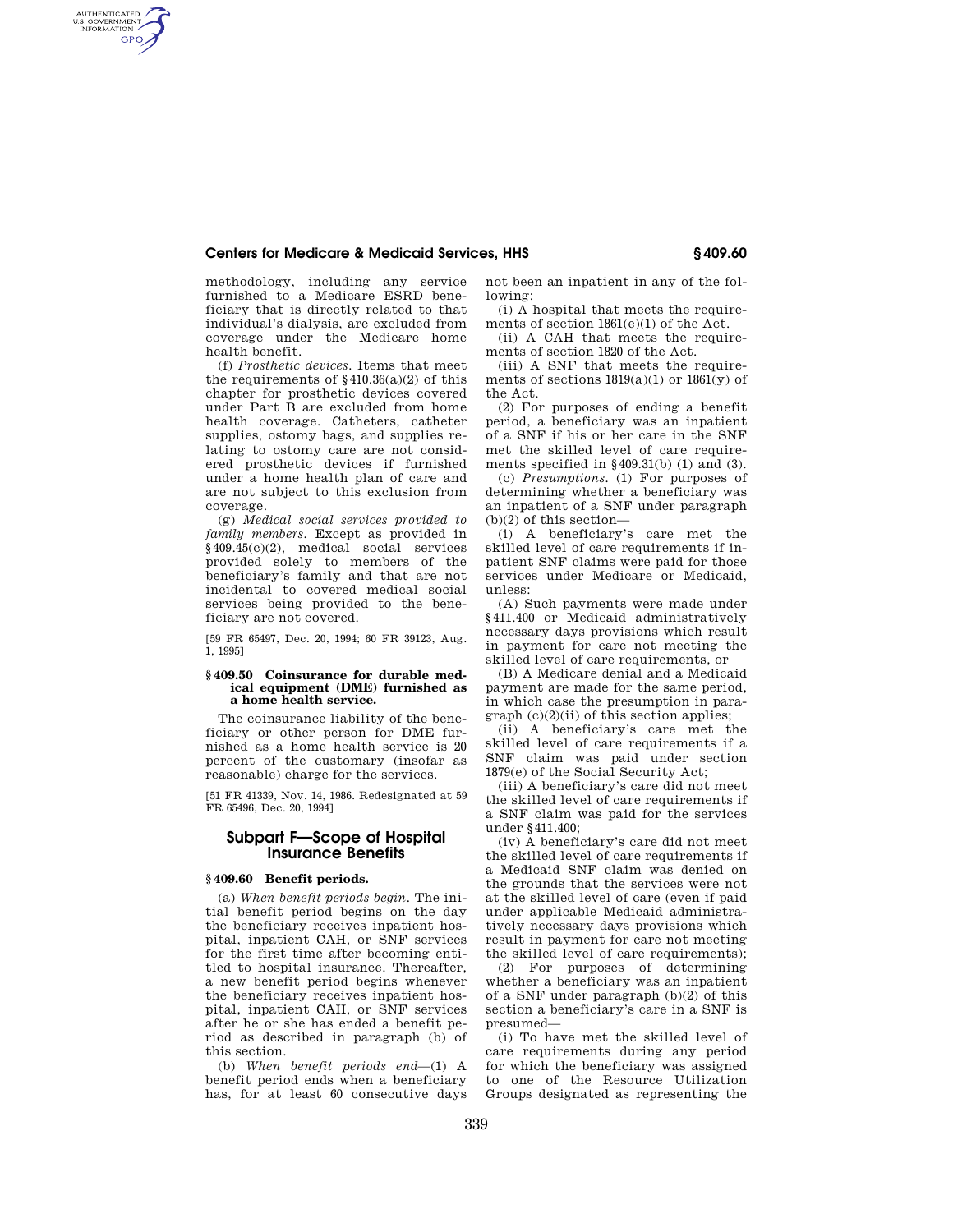# **Centers for Medicare & Medicaid Services, HHS § 409.60**

methodology, including any service furnished to a Medicare ESRD beneficiary that is directly related to that individual's dialysis, are excluded from coverage under the Medicare home health benefit.

AUTHENTICATED<br>U.S. GOVERNMENT<br>INFORMATION **GPO** 

> (f) *Prosthetic devices.* Items that meet the requirements of  $§410.36(a)(2)$  of this chapter for prosthetic devices covered under Part B are excluded from home health coverage. Catheters, catheter supplies, ostomy bags, and supplies relating to ostomy care are not considered prosthetic devices if furnished under a home health plan of care and are not subject to this exclusion from coverage.

> (g) *Medical social services provided to family members.* Except as provided in  $§409.45(c)(2)$ , medical social services provided solely to members of the beneficiary's family and that are not incidental to covered medical social services being provided to the beneficiary are not covered.

[59 FR 65497, Dec. 20, 1994; 60 FR 39123, Aug. 1, 1995]

#### **§ 409.50 Coinsurance for durable medical equipment (DME) furnished as a home health service.**

The coinsurance liability of the beneficiary or other person for DME furnished as a home health service is 20 percent of the customary (insofar as reasonable) charge for the services.

[51 FR 41339, Nov. 14, 1986. Redesignated at 59 FR 65496, Dec. 20, 1994]

# **Subpart F—Scope of Hospital Insurance Benefits**

# **§ 409.60 Benefit periods.**

(a) *When benefit periods begin.* The initial benefit period begins on the day the beneficiary receives inpatient hospital, inpatient CAH, or SNF services for the first time after becoming entitled to hospital insurance. Thereafter, a new benefit period begins whenever the beneficiary receives inpatient hospital, inpatient CAH, or SNF services after he or she has ended a benefit period as described in paragraph (b) of this section.

(b) *When benefit periods end*—(1) A benefit period ends when a beneficiary has, for at least 60 consecutive days not been an inpatient in any of the following:

(i) A hospital that meets the requirements of section 1861(e)(1) of the Act.

(ii) A CAH that meets the requirements of section 1820 of the Act.

(iii) A SNF that meets the requirements of sections  $1819(a)(1)$  or  $1861(y)$  of the Act.

(2) For purposes of ending a benefit period, a beneficiary was an inpatient of a SNF if his or her care in the SNF met the skilled level of care requirements specified in  $§409.31(b)$  (1) and (3).

(c) *Presumptions.* (1) For purposes of determining whether a beneficiary was an inpatient of a SNF under paragraph (b)(2) of this section—

(i) A beneficiary's care met the skilled level of care requirements if inpatient SNF claims were paid for those services under Medicare or Medicaid, unless:

(A) Such payments were made under §411.400 or Medicaid administratively necessary days provisions which result in payment for care not meeting the skilled level of care requirements, or

(B) A Medicare denial and a Medicaid payment are made for the same period, in which case the presumption in paragraph  $(c)(2)(ii)$  of this section applies:

(ii) A beneficiary's care met the skilled level of care requirements if a SNF claim was paid under section 1879(e) of the Social Security Act;

(iii) A beneficiary's care did not meet the skilled level of care requirements if a SNF claim was paid for the services under §411.400;

(iv) A beneficiary's care did not meet the skilled level of care requirements if a Medicaid SNF claim was denied on the grounds that the services were not at the skilled level of care (even if paid under applicable Medicaid administratively necessary days provisions which result in payment for care not meeting the skilled level of care requirements);

(2) For purposes of determining whether a beneficiary was an inpatient of a SNF under paragraph (b)(2) of this section a beneficiary's care in a SNF is presumed—

(i) To have met the skilled level of care requirements during any period for which the beneficiary was assigned to one of the Resource Utilization Groups designated as representing the